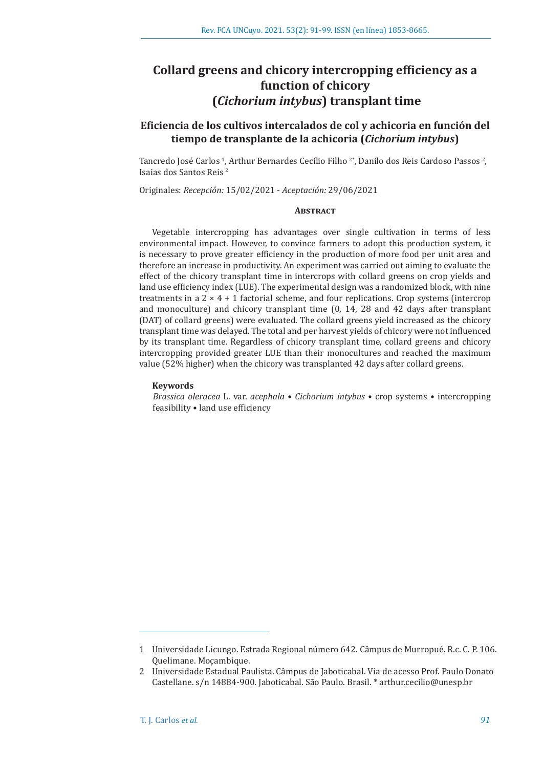# **Collard greens and chicory intercropping efficiency as a function of chicory (***Cichorium intybus***) transplant time**

# **Eficiencia de los cultivos intercalados de col y achicoria en función del tiempo de transplante de la achicoria (***Cichorium intybus***)**

Tancredo José Carlos <sup>1</sup>, Arthur Bernardes Cecílio Filho <sup>2</sup>", Danilo dos Reis Cardoso Passos <sup>2</sup>, Isaias dos Santos Reis 2

Originales: *Recepción:* 15/02/2021 - *Aceptación:* 29/06/2021

## **Abstract**

Vegetable intercropping has advantages over single cultivation in terms of less environmental impact. However, to convince farmers to adopt this production system, it is necessary to prove greater efficiency in the production of more food per unit area and therefore an increase in productivity. An experiment was carried out aiming to evaluate the effect of the chicory transplant time in intercrops with collard greens on crop yields and land use efficiency index (LUE). The experimental design was a randomized block, with nine treatments in a  $2 \times 4 + 1$  factorial scheme, and four replications. Crop systems (intercrop and monoculture) and chicory transplant time (0, 14, 28 and 42 days after transplant (DAT) of collard greens) were evaluated. The collard greens yield increased as the chicory transplant time was delayed. The total and per harvest yields of chicory were not influenced by its transplant time. Regardless of chicory transplant time, collard greens and chicory intercropping provided greater LUE than their monocultures and reached the maximum value (52% higher) when the chicory was transplanted 42 days after collard greens.

#### **Keywords**

*Brassica oleracea* L. var. *acephala* • *Cichorium intybus* • crop systems • intercropping feasibility • land use efficiency

<sup>1</sup> Universidade Licungo. Estrada Regional número 642. Câmpus de Murropué. R.c. C. P. 106. Quelimane. Moçambique.

<sup>2</sup> Universidade Estadual Paulista. Câmpus de Jaboticabal. Via de acesso Prof. Paulo Donato Castellane. s/n 14884-900. Jaboticabal. São Paulo. Brasil. \* arthur.cecilio@unesp.br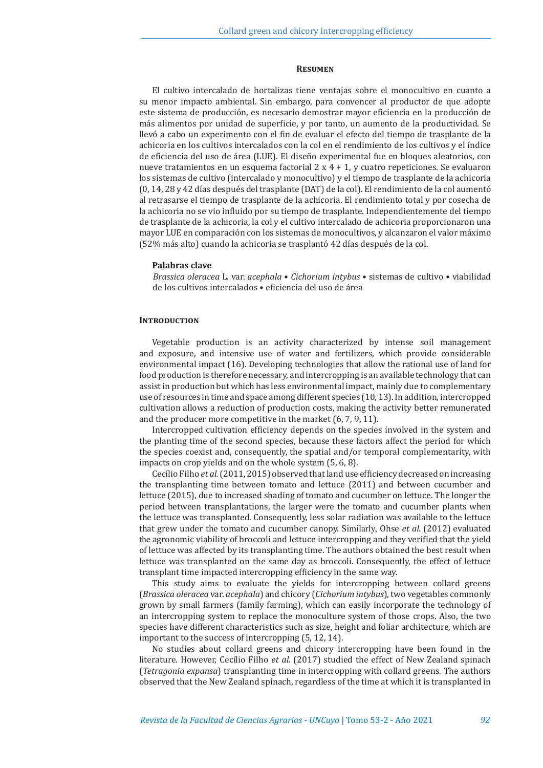#### **Resumen**

El cultivo intercalado de hortalizas tiene ventajas sobre el monocultivo en cuanto a su menor impacto ambiental. Sin embargo, para convencer al productor de que adopte este sistema de producción, es necesario demostrar mayor eficiencia en la producción de más alimentos por unidad de superficie, y por tanto, un aumento de la productividad. Se llevó a cabo un experimento con el fin de evaluar el efecto del tiempo de trasplante de la achicoria en los cultivos intercalados con la col en el rendimiento de los cultivos y el índice de eficiencia del uso de área (LUE). El diseño experimental fue en bloques aleatorios, con nueve tratamientos en un esquema factorial  $2 \times 4 + 1$ , y cuatro repeticiones. Se evaluaron los sistemas de cultivo (intercalado y monocultivo) y el tiempo de trasplante de la achicoria (0, 14, 28 y 42 días después del trasplante (DAT) de la col). El rendimiento de la col aumentó al retrasarse el tiempo de trasplante de la achicoria. El rendimiento total y por cosecha de la achicoria no se vio influido por su tiempo de trasplante. Independientemente del tiempo de trasplante de la achicoria, la col y el cultivo intercalado de achicoria proporcionaron una mayor LUE en comparación con los sistemas de monocultivos, y alcanzaron el valor máximo (52% más alto) cuando la achicoria se trasplantó 42 días después de la col.

#### **Palabras clave**

*Brassica oleracea* L. var. *acephala* • *Cichorium intybus* • sistemas de cultivo • viabilidad de los cultivos intercalados • eficiencia del uso de área

#### **INTRODUCTION**

Vegetable production is an activity characterized by intense soil management and exposure, and intensive use of water and fertilizers, which provide considerable environmental impact (16). Developing technologies that allow the rational use of land for food production is therefore necessary, and intercropping is an available technology that can assist in production but which has less environmental impact, mainly due to complementary use of resources in time and space among different species (10, 13). In addition, intercropped cultivation allows a reduction of production costs, making the activity better remunerated and the producer more competitive in the market (6, 7, 9, 11).

Intercropped cultivation efficiency depends on the species involved in the system and the planting time of the second species, because these factors affect the period for which the species coexist and, consequently, the spatial and/or temporal complementarity, with impacts on crop yields and on the whole system (5, 6, 8).

Cecílio Filho *et al.* (2011, 2015) observed that land use efficiency decreased on increasing the transplanting time between tomato and lettuce (2011) and between cucumber and lettuce (2015), due to increased shading of tomato and cucumber on lettuce. The longer the period between transplantations, the larger were the tomato and cucumber plants when the lettuce was transplanted. Consequently, less solar radiation was available to the lettuce that grew under the tomato and cucumber canopy. Similarly, Ohse *et al.* (2012) evaluated the agronomic viability of broccoli and lettuce intercropping and they verified that the yield of lettuce was affected by its transplanting time. The authors obtained the best result when lettuce was transplanted on the same day as broccoli. Consequently, the effect of lettuce transplant time impacted intercropping efficiency in the same way.

This study aims to evaluate the yields for intercropping between collard greens (*Brassica oleracea* var. *acephala*) and chicory (*Cichorium intybus*), two vegetables commonly grown by small farmers (family farming), which can easily incorporate the technology of an intercropping system to replace the monoculture system of those crops. Also, the two species have different characteristics such as size, height and foliar architecture, which are important to the success of intercropping (5, 12, 14).

No studies about collard greens and chicory intercropping have been found in the literature. However, Cecílio Filho *et al.* (2017) studied the effect of New Zealand spinach (*Tetragonia expansa*) transplanting time in intercropping with collard greens. The authors observed that the New Zealand spinach, regardless of the time at which it is transplanted in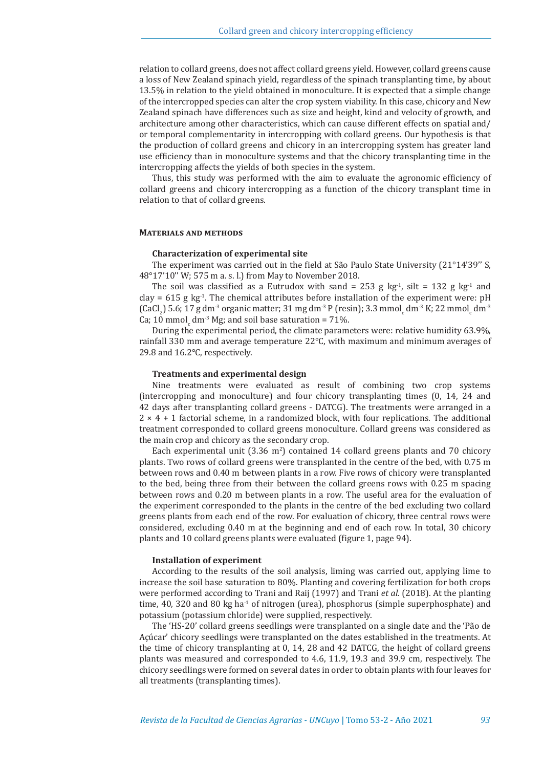relation to collard greens, does not affect collard greens yield. However, collard greens cause a loss of New Zealand spinach yield, regardless of the spinach transplanting time, by about 13.5% in relation to the yield obtained in monoculture. It is expected that a simple change of the intercropped species can alter the crop system viability. In this case, chicory and New Zealand spinach have differences such as size and height, kind and velocity of growth, and architecture among other characteristics, which can cause different effects on spatial and/ or temporal complementarity in intercropping with collard greens. Our hypothesis is that the production of collard greens and chicory in an intercropping system has greater land use efficiency than in monoculture systems and that the chicory transplanting time in the intercropping affects the yields of both species in the system.

Thus, this study was performed with the aim to evaluate the agronomic efficiency of collard greens and chicory intercropping as a function of the chicory transplant time in relation to that of collard greens.

#### **Materials and methods**

#### **Characterization of experimental site**

The experiment was carried out in the field at São Paulo State University (21°14'39'' S, 48°17'10'' W; 575 m a. s. l.) from May to November 2018.

The soil was classified as a Eutrudox with sand = 253 g kg<sup>-1</sup>, silt = 132 g kg<sup>-1</sup> and clay =  $615$  g kg<sup>-1</sup>. The chemical attributes before installation of the experiment were: pH (CaCl<sub>2</sub>) 5.6; 17 g dm<sup>-3</sup> organic matter; 31 mg dm<sup>-3</sup> P (resin); 3.3 mmol<sub>c</sub> dm<sup>-3</sup> K; 22 mmol<sub>c</sub> dm<sup>-3</sup> Ca; 10 mmol<sub>c</sub> dm<sup>-3</sup> Mg; and soil base saturation = 71%.

During the experimental period, the climate parameters were: relative humidity 63.9%, rainfall 330 mm and average temperature 22°C, with maximum and minimum averages of 29.8 and 16.2°C, respectively.

# **Treatments and experimental design**

Nine treatments were evaluated as result of combining two crop systems (intercropping and monoculture) and four chicory transplanting times (0, 14, 24 and 42 days after transplanting collard greens - DATCG). The treatments were arranged in a  $2 \times 4 + 1$  factorial scheme, in a randomized block, with four replications. The additional treatment corresponded to collard greens monoculture. Collard greens was considered as the main crop and chicory as the secondary crop.

Each experimental unit  $(3.36 \text{ m}^2)$  contained 14 collard greens plants and 70 chicory plants. Two rows of collard greens were transplanted in the centre of the bed, with 0.75 m between rows and 0.40 m between plants in a row. Five rows of chicory were transplanted to the bed, being three from their between the collard greens rows with 0.25 m spacing between rows and 0.20 m between plants in a row. The useful area for the evaluation of the experiment corresponded to the plants in the centre of the bed excluding two collard greens plants from each end of the row. For evaluation of chicory, three central rows were considered, excluding 0.40 m at the beginning and end of each row. In total, 30 chicory plants and 10 collard greens plants were evaluated (figure 1, page 94).

#### **Installation of experiment**

According to the results of the soil analysis, liming was carried out, applying lime to increase the soil base saturation to 80%. Planting and covering fertilization for both crops were performed according to Trani and Raij (1997) and Trani *et al.* (2018). At the planting time, 40, 320 and 80 kg ha<sup>-1</sup> of nitrogen (urea), phosphorus (simple superphosphate) and potassium (potassium chloride) were supplied, respectively.

The 'HS-20' collard greens seedlings were transplanted on a single date and the 'Pão de Açúcar' chicory seedlings were transplanted on the dates established in the treatments. At the time of chicory transplanting at 0, 14, 28 and 42 DATCG, the height of collard greens plants was measured and corresponded to 4.6, 11.9, 19.3 and 39.9 cm, respectively. The chicory seedlings were formed on several dates in order to obtain plants with four leaves for all treatments (transplanting times).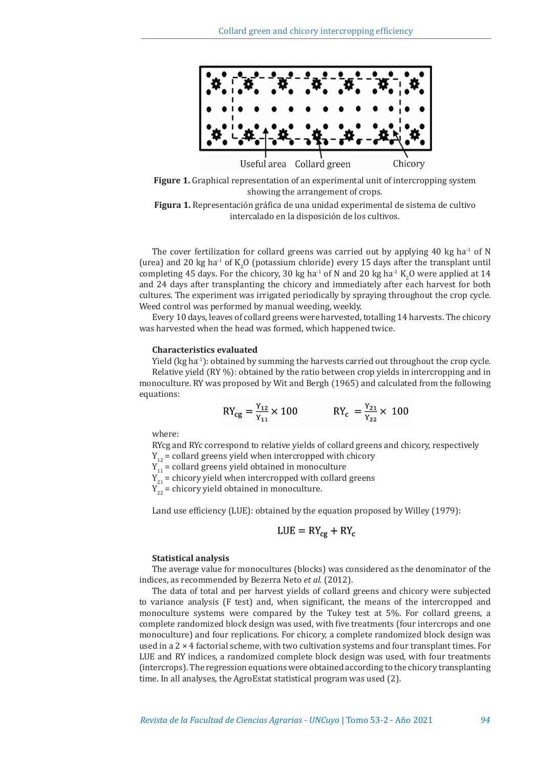

**Figure 1.** Graphical representation of an experimental unit of intercropping system showing the arrangement of crops.



The cover fertilization for collard greens was carried out by applying 40 kg ha<sup>-1</sup> of N (urea) and 20 kg ha<sup>-1</sup> of  $K_2O$  (potassium chloride) every 15 days after the transplant until completing 45 days. For the chicory, 30 kg ha<sup>-1</sup> of N and 20 kg ha<sup>-1</sup> K<sub>2</sub>O were applied at 14 and 24 days after transplanting the chicory and immediately after each harvest for both cultures. The experiment was irrigated periodically by spraying throughout the crop cycle. Weed control was performed by manual weeding, weekly.

Every 10 days, leaves of collard greens were harvested, totalling 14 harvests. The chicory was harvested when the head was formed, which happened twice.

#### **Characteristics evaluated**

Yield (kg ha-1): obtained by summing the harvests carried out throughout the crop cycle. Relative yield (RY %): obtained by the ratio between crop yields in intercropping and in monoculture. RY was proposed by Wit and Bergh (1965) and calculated from the following equations:

$$
RY_{cg} = \frac{Y_{12}}{Y_{11}} \times 100 \qquad \qquad RY_c = \frac{Y_{21}}{Y_{22}} \times 100
$$

where:

RYcg and RYc correspond to relative yields of collard greens and chicory, respectively  $Y_{12}$  = collard greens yield when intercropped with chicory

 $Y_{11}$  = collard greens yield obtained in monoculture

 $Y_{21}$  = chicory yield when intercropped with collard greens

 $Y_{22}$  = chicory yield obtained in monoculture.

Land use efficiency (LUE): obtained by the equation proposed by Willey (1979):

$$
LUE = RY_{cg} + RY_c
$$

#### **Statistical analysis**

The average value for monocultures (blocks) was considered as the denominator of the indices, as recommended by Bezerra Neto *et al.* (2012).

The data of total and per harvest yields of collard greens and chicory were subjected to variance analysis (F test) and, when significant, the means of the intercropped and monoculture systems were compared by the Tukey test at 5%. For collard greens, a complete randomized block design was used, with five treatments (four intercrops and one monoculture) and four replications. For chicory, a complete randomized block design was used in a  $2 \times 4$  factorial scheme, with two cultivation systems and four transplant times. For LUE and RY indices, a randomized complete block design was used, with four treatments (intercrops). The regression equations were obtained according to the chicory transplanting time. In all analyses, the AgroEstat statistical program was used (2).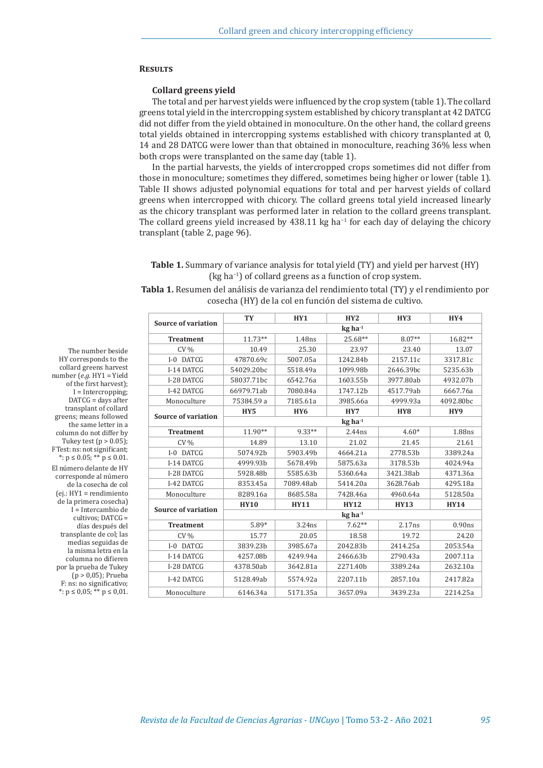#### **Results**

#### **Collard greens yield**

The total and per harvest yields were influenced by the crop system (table 1). The collard greens total yield in the intercropping system established by chicory transplant at 42 DATCG did not differ from the yield obtained in monoculture. On the other hand, the collard greens total yields obtained in intercropping systems established with chicory transplanted at 0, 14 and 28 DATCG were lower than that obtained in monoculture, reaching 36% less when both crops were transplanted on the same day (table 1).

In the partial harvests, the yields of intercropped crops sometimes did not differ from those in monoculture; sometimes they differed, sometimes being higher or lower (table 1). Table II shows adjusted polynomial equations for total and per harvest yields of collard greens when intercropped with chicory. The collard greens total yield increased linearly as the chicory transplant was performed later in relation to the collard greens transplant. The collard greens yield increased by 438.11 kg ha<sup>-1</sup> for each day of delaying the chicory transplant (table 2, page 96).

# **Table 1.** Summary of variance analysis for total yield (TY) and yield per harvest (HY) (kg ha−1) of collard greens as a function of crop system.

**Tabla 1.** Resumen del análisis de varianza del rendimiento total (TY) y el rendimiento por cosecha (HY) de la col en función del sistema de cultivo.

|                            | <b>TY</b>             | HY1             | HY2                   | HY3             | HY4                |  |
|----------------------------|-----------------------|-----------------|-----------------------|-----------------|--------------------|--|
| <b>Source of variation</b> |                       |                 | $kg$ ha <sup>-1</sup> |                 |                    |  |
| <b>Treatment</b>           | $11.73**$             | 1.48ns          | 25.68**               | $8.07**$        | 16.82**            |  |
| $CV\%$                     | 10.49                 | 25.30           | 23.97                 | 23.40           | 13.07              |  |
| I-0 DATCG                  | 47870.69c             | 5007.05a        | 1242.84b              | 2157.11c        | 3317.81c           |  |
| I-14 DATCG                 | 54029.20bc            | 5518.49a        | 1099.98b              | 2646.39bc       | 5235.63b           |  |
| I-28 DATCG                 | 58037.71bc            | 6542.76a        | 1603.55b              | 3977.80ab       | 4932.07b           |  |
| I-42 DATCG                 | 66979.71ab            | 7080.84a        | 1747.12b              | 4517.79ab       | 6667.76a           |  |
| Monoculture                | 75384.59 a            | 7185.61a        | 3985.66a              | 4999.93a        | 4092.80bc          |  |
| <b>Source of variation</b> | HY <sub>5</sub>       | HY <sub>6</sub> | HY7                   | HY <sub>8</sub> | HY9                |  |
|                            | $kg$ ha <sup>-1</sup> |                 |                       |                 |                    |  |
| <b>Treatment</b>           | $11.90**$             | 9.33**          | 2.44ns                | $4.60*$         | 1.88ns             |  |
| $CV\%$                     | 14.89                 | 13.10           | 21.02                 | 21.45           | 21.61              |  |
| I-0 DATCG                  | 5074.92b              | 5903.49b        | 4664.21a              | 2778.53b        | 3389.24a           |  |
| I-14 DATCG                 | 4999.93b              | 5678.49b        | 5875.63a              | 3178.53b        | 4024.94a           |  |
| I-28 DATCG                 | 5928.48b              | 5585.63b        | 5360.64a              | 3421.38ab       | 4371.36a           |  |
| I-42 DATCG                 | 8353.45a              | 7089.48ab       | 5414.20a              | 3628.76ab       | 4295.18a           |  |
| Monoculture                | 8289.16a              | 8685.58a        | 7428.46a              | 4960.64a        | 5128.50a           |  |
| <b>Source of variation</b> | <b>HY10</b>           | <b>HY11</b>     | <b>HY12</b>           | <b>HY13</b>     | <b>HY14</b>        |  |
|                            | $kg$ ha <sup>-1</sup> |                 |                       |                 |                    |  |
| <b>Treatment</b>           | $5.89*$               | 3.24ns          | $7.62**$              | 2.17ns          | 0.90 <sub>ns</sub> |  |
| $CV\%$                     | 15.77                 | 20.05           | 18.58                 | 19.72           | 24.20              |  |
| I-0 DATCG                  | 3839.23b              | 3985.67a        | 2042.83b              | 2414.25a        | 2053.54a           |  |
| I-14 DATCG                 | 4257.08b              | 4249.94a        | 2466.63b              | 2790.43a        | 2007.11a           |  |
| I-28 DATCG                 | 4378.50ab             | 3642.81a        | 2271.40b              | 3389.24a        | 2632.10a           |  |
| I-42 DATCG                 | 5128.49ab             | 5574.92a        | 2207.11b              | 2857.10a        | 2417.82a           |  |
| Monoculture                | 6146.34a              | 5171.35a        | 3657.09a              | 3439.23a        | 2214.25a           |  |

HY corresponds to the collard greens harvest number (*e.g.* HY1 = Yield of the first harvest); I = Intercropping; DATCG = days after transplant of collard greens; means followed the same letter in a column do not differ by Tukey test  $(p > 0.05)$ ; F Test: ns: not significant; \*:  $p$  ≤ 0.05; \*\*  $p$  ≤ 0.01. El número delante de HY corresponde al número de la cosecha de col (ej.: HY1 = rendimiento de la primera cosecha) I = Intercambio de cultivos; DATCG = días después del transplante de col; las medias seguidas de la misma letra en la columna no difieren por la prueba de Tukey (p > 0,05); Prueba F: ns: no significativo; \*:  $p$  ≤ 0,05; \*\*  $p$  ≤ 0,01.

The number beside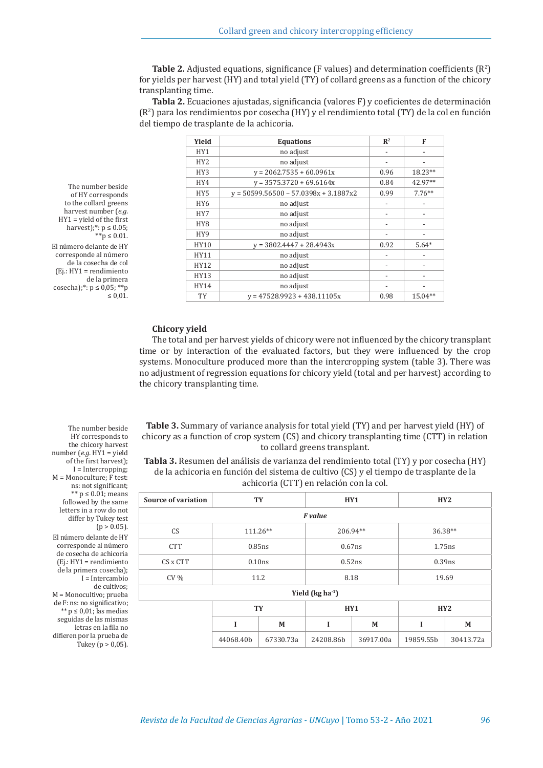**Table 2.** Adjusted equations, significance (F values) and determination coefficients  $(R^2)$ for yields per harvest (HY) and total yield (TY) of collard greens as a function of the chicory transplanting time.

**Tabla 2.** Ecuaciones ajustadas, significancia (valores F) y coeficientes de determinación (R2 ) para los rendimientos por cosecha (HY) y el rendimiento total (TY) de la col en función del tiempo de trasplante de la achicoria.

| Yield           | <b>Equations</b>                        | $\mathbb{R}^2$               | F                            |
|-----------------|-----------------------------------------|------------------------------|------------------------------|
| HY1             | no adjust                               |                              |                              |
| HY <sub>2</sub> | no adjust                               |                              |                              |
| HY3             | $y = 2062.7535 + 60.0961x$              | 0.96                         | 18.23**                      |
| HY4             | $y = 3575.3720 + 69.6164x$              | 0.84                         | 42.97**                      |
| HY5             | $v = 50599.56500 - 57.0398x + 3.1887x2$ | 0.99                         | $7.76***$                    |
| HY <sub>6</sub> | no adjust                               | $\overline{\phantom{a}}$     | $\qquad \qquad \blacksquare$ |
| HY7             | no adjust                               |                              |                              |
| HY8             | no adjust                               | $\overline{a}$               |                              |
| HY9             | no adjust                               | $\overline{\phantom{a}}$     | $\qquad \qquad \blacksquare$ |
| HY10            | $y = 3802.4447 + 28.4943x$              | 0.92                         | $5.64*$                      |
| HY11            | no adjust                               | $\overline{\phantom{a}}$     |                              |
| HY12            | no adjust                               | $\overline{\phantom{a}}$     |                              |
| HY13            | no adjust                               |                              |                              |
| HY14            | no adjust                               | $\qquad \qquad \blacksquare$ |                              |
| <b>TY</b>       | $y = 47528.9923 + 438.11105x$           | 0.98                         | 15.04**                      |

The number beside of HY corresponds to the collard greens harvest number (*e.g.*  HY1 = yield of the first harvest);\*:  $p \le 0.05$ ; \*\*p ≤ 0.01. El número delante de HY corresponde al número de la cosecha de col (Ej.: HY1 = rendimiento de la primera cosecha);\*:  $p \le 0.05$ ; \*\*p ≤ 0,01.

### **Chicory yield**

The total and per harvest yields of chicory were not influenced by the chicory transplant time or by interaction of the evaluated factors, but they were influenced by the crop systems. Monoculture produced more than the intercropping system (table 3). There was no adjustment of regression equations for chicory yield (total and per harvest) according to the chicory transplanting time.

**Table 3.** Summary of variance analysis for total yield (TY) and per harvest yield (HY) of chicory as a function of crop system (CS) and chicory transplanting time (CTT) in relation to collard greens transplant.

**Tabla 3.** Resumen del análisis de varianza del rendimiento total (TY) y por cosecha (HY) de la achicoria en función del sistema de cultivo (CS) y el tiempo de trasplante de la achicoria (CTT) en relación con la col.

| <b>Source of variation</b>             | <b>TY</b> |           | HY1       |           | HY2       |           |  |
|----------------------------------------|-----------|-----------|-----------|-----------|-----------|-----------|--|
| F value                                |           |           |           |           |           |           |  |
| <b>CS</b>                              | 111.26**  |           | 206.94**  |           | 36.38**   |           |  |
| <b>CTT</b>                             | $0.85$ ns |           | $0.67$ ns |           | $1.75$ ns |           |  |
| CS x CTT                               | 0.10ns    |           | 0.52ns    |           | $0.39$ ns |           |  |
| $CV\%$                                 |           | 11.2      |           | 8.18      |           | 19.69     |  |
| Yield ( $\text{kg}$ ha <sup>-1</sup> ) |           |           |           |           |           |           |  |
|                                        | TY        |           | HY1       |           | HY2       |           |  |
|                                        |           | M         |           | M         |           | M         |  |
|                                        | 44068.40b | 67330.73a | 24208.86b | 36917.00a | 19859.55b | 30413.72a |  |

The number beside HY corresponds to the chicory harvest number (*e.g.* HY1 = yield of the first harvest); I = Intercropping; M = Monoculture; F test: ns: not significant; \*\* p ≤ 0.01; means followed by the same letters in a row do not differ by Tukey test  $(p > 0.05)$ . El número delante de HY corresponde al número de cosecha de achicoria (Ej.: HY1 = rendimiento de la primera cosecha); I = Intercambio de cultivos; M = Monocultivo; prueba de F: ns: no significativo; \*\*  $p \le 0.01$ ; las medias

seguidas de las mismas letras en la fila no difieren por la prueba de Tukey ( $p > 0.05$ ).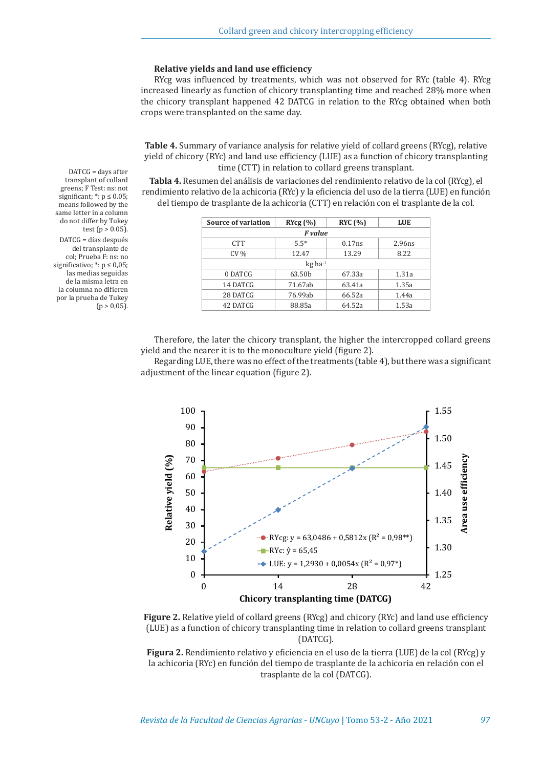#### **Relative yields and land use efficiency**

RYcg was influenced by treatments, which was not observed for RYc (table 4). RYcg increased linearly as function of chicory transplanting time and reached 28% more when the chicory transplant happened 42 DATCG in relation to the RYcg obtained when both crops were transplanted on the same day.

**Table 4.** Summary of variance analysis for relative yield of collard greens (RYcg), relative yield of chicory (RYc) and land use efficiency (LUE) as a function of chicory transplanting time (CTT) in relation to collard greens transplant.

**Tabla 4.** Resumen del análisis de variaciones del rendimiento relativo de la col (RYcg), el rendimiento relativo de la achicoria (RYc) y la eficiencia del uso de la tierra (LUE) en función del tiempo de trasplante de la achicoria (CTT) en relación con el trasplante de la col.

| <b>Source of variation</b> | RYcg(%) | RYC(%) | <b>LUE</b> |  |  |
|----------------------------|---------|--------|------------|--|--|
| F value                    |         |        |            |  |  |
| <b>CTT</b>                 | $5.5*$  | 0.17ns | 2.96ns     |  |  |
| $CV\%$                     | 12.47   | 13.29  | 8.22       |  |  |
| $kg$ ha <sup>-1</sup>      |         |        |            |  |  |
| 0 DATCG                    | 63.50b  | 67.33a | 1.31a      |  |  |
| 14 DATCG                   | 71.67ab | 63.41a | 1.35a      |  |  |
| 28 DATCG                   | 76.99ab | 66.52a | 1.44a      |  |  |
| 42 DATCG                   | 88.85a  | 64.52a | 1.53a      |  |  |

Therefore, the later the chicory transplant, the higher the intercropped collard greens yield and the nearer it is to the monoculture yield (figure 2).

Regarding LUE, there was no effect of the treatments (table 4), but there was a significant adjustment of the linear equation (figure 2).



**Figure 2.** Relative yield of collard greens (RYcg) and chicory (RYc) and land use efficiency (LUE) as a function of chicory transplanting time in relation to collard greens transplant (DATCG).

**Figura 2.** Rendimiento relativo y eficiencia en el uso de la tierra (LUE) de la col (RYcg) y la achicoria (RYc) en función del tiempo de trasplante de la achicoria en relación con el trasplante de la col (DATCG).

DATCG = days after transplant of collard greens; F Test: ns: not significant;  $*$ :  $p \le 0.05$ ; means followed by the same letter in a column do not differ by Tukey test ( $p > 0.05$ ). DATCG = días después del transplante de col; Prueba F: ns: no significativo; \*: p ≤ 0,05; las medias seguidas de la misma letra en la columna no difieren por la prueba de Tukey  $(p > 0.05)$ .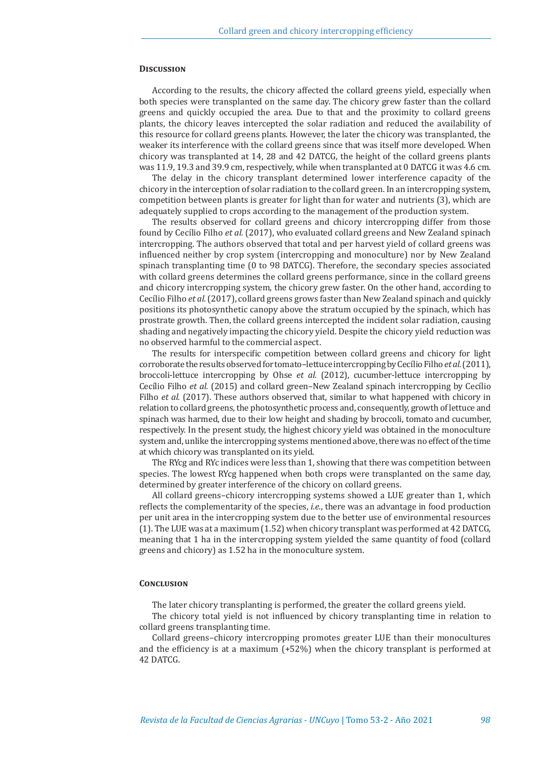#### **Discussion**

According to the results, the chicory affected the collard greens yield, especially when both species were transplanted on the same day. The chicory grew faster than the collard greens and quickly occupied the area. Due to that and the proximity to collard greens plants, the chicory leaves intercepted the solar radiation and reduced the availability of this resource for collard greens plants. However, the later the chicory was transplanted, the weaker its interference with the collard greens since that was itself more developed. When chicory was transplanted at 14, 28 and 42 DATCG, the height of the collard greens plants was 11.9, 19.3 and 39.9 cm, respectively, while when transplanted at 0 DATCG it was 4.6 cm.

The delay in the chicory transplant determined lower interference capacity of the chicory in the interception of solar radiation to the collard green. In an intercropping system, competition between plants is greater for light than for water and nutrients (3), which are adequately supplied to crops according to the management of the production system.

The results observed for collard greens and chicory intercropping differ from those found by Cecílio Filho *et al.* (2017), who evaluated collard greens and New Zealand spinach intercropping. The authors observed that total and per harvest yield of collard greens was influenced neither by crop system (intercropping and monoculture) nor by New Zealand spinach transplanting time (0 to 98 DATCG). Therefore, the secondary species associated with collard greens determines the collard greens performance, since in the collard greens and chicory intercropping system, the chicory grew faster. On the other hand, according to Cecílio Filho *et al.* (2017), collard greens grows faster than New Zealand spinach and quickly positions its photosynthetic canopy above the stratum occupied by the spinach, which has prostrate growth. Then, the collard greens intercepted the incident solar radiation, causing shading and negatively impacting the chicory yield. Despite the chicory yield reduction was no observed harmful to the commercial aspect.

The results for interspecific competition between collard greens and chicory for light corroborate the results observed for tomato–lettuce intercropping by Cecílio Filho *et al.* (2011), broccoli-lettuce intercropping by Ohse *et al.* (2012), cucumber-lettuce intercropping by Cecílio Filho *et al.* (2015) and collard green–New Zealand spinach intercropping by Cecílio Filho *et al.* (2017). These authors observed that, similar to what happened with chicory in relation to collard greens, the photosynthetic process and, consequently, growth of lettuce and spinach was harmed, due to their low height and shading by broccoli, tomato and cucumber, respectively. In the present study, the highest chicory yield was obtained in the monoculture system and, unlike the intercropping systems mentioned above, there was no effect of the time at which chicory was transplanted on its yield.

The RYcg and RYc indices were less than 1, showing that there was competition between species. The lowest RYcg happened when both crops were transplanted on the same day, determined by greater interference of the chicory on collard greens.

All collard greens–chicory intercropping systems showed a LUE greater than 1, which reflects the complementarity of the species, *i.e.*, there was an advantage in food production per unit area in the intercropping system due to the better use of environmental resources (1). The LUE was at a maximum (1.52) when chicory transplant was performed at 42 DATCG, meaning that 1 ha in the intercropping system yielded the same quantity of food (collard greens and chicory) as 1.52 ha in the monoculture system.

#### **Conclusion**

The later chicory transplanting is performed, the greater the collard greens yield.

The chicory total yield is not influenced by chicory transplanting time in relation to collard greens transplanting time.

Collard greens–chicory intercropping promotes greater LUE than their monocultures and the efficiency is at a maximum  $(+52%)$  when the chicory transplant is performed at 42 DATCG.